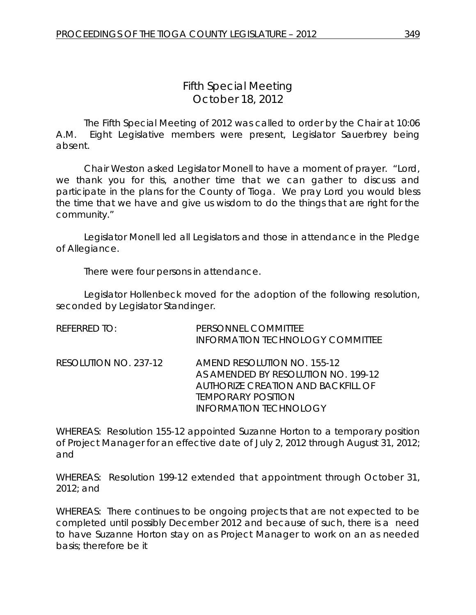The Fifth Special Meeting of 2012 was called to order by the Chair at 10:06 A.M. Eight Legislative members were present, Legislator Sauerbrey being absent.

Chair Weston asked Legislator Monell to have a moment of prayer. "Lord, we thank you for this, another time that we can gather to discuss and participate in the plans for the County of Tioga. We pray Lord you would bless the time that we have and give us wisdom to do the things that are right for the community."

Legislator Monell led all Legislators and those in attendance in the Pledge of Allegiance.

There were four persons in attendance.

Legislator Hollenbeck moved for the adoption of the following resolution, seconded by Legislator Standinger.

| <b>REFERRED TO:</b>   | PERSONNEL COMMITTEE<br><b>INFORMATION TECHNOLOGY COMMITTEE</b>                                                                                                                |
|-----------------------|-------------------------------------------------------------------------------------------------------------------------------------------------------------------------------|
| RESOLUTION NO. 237-12 | <b>AMEND RESOLUTION NO. 155-12</b><br>AS AMENDED BY RESOLUTION NO. 199-12<br>AUTHORIZE CREATION AND BACKFILL OF<br><b>TEMPORARY POSITION</b><br><b>INFORMATION TECHNOLOGY</b> |

WHEREAS: Resolution 155-12 appointed Suzanne Horton to a temporary position of Project Manager for an effective date of July 2, 2012 through August 31, 2012; and

WHEREAS: Resolution 199-12 extended that appointment through October 31, 2012; and

WHEREAS: There continues to be ongoing projects that are not expected to be completed until possibly December 2012 and because of such, there is a need to have Suzanne Horton stay on as Project Manager to work on an as needed basis; therefore be it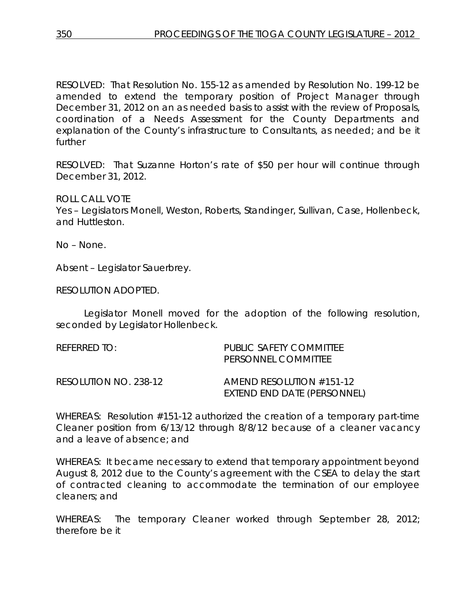RESOLVED: That Resolution No. 155-12 as amended by Resolution No. 199-12 be amended to extend the temporary position of Project Manager through December 31, 2012 on an as needed basis to assist with the review of Proposals, coordination of a Needs Assessment for the County Departments and explanation of the County's infrastructure to Consultants, as needed; and be it further

RESOLVED: That Suzanne Horton's rate of \$50 per hour will continue through December 31, 2012.

ROLL CALL VOTE

Yes – Legislators Monell, Weston, Roberts, Standinger, Sullivan, Case, Hollenbeck, and Huttleston.

No – None.

Absent – Legislator Sauerbrey.

RESOLUTION ADOPTED.

Legislator Monell moved for the adoption of the following resolution, seconded by Legislator Hollenbeck.

| REFERRED TO:          | PUBLIC SAFETY COMMITTEE<br>PERSONNEL COMMITTEE            |
|-----------------------|-----------------------------------------------------------|
| RESOLUTION NO. 238-12 | AMEND RESOLUTION $#151-12$<br>EXTEND END DATE (PERSONNEL) |

WHEREAS: Resolution #151-12 authorized the creation of a temporary part-time Cleaner position from 6/13/12 through 8/8/12 because of a cleaner vacancy and a leave of absence; and

WHEREAS: It became necessary to extend that temporary appointment beyond August 8, 2012 due to the County's agreement with the CSEA to delay the start of contracted cleaning to accommodate the termination of our employee cleaners; and

WHEREAS: The temporary Cleaner worked through September 28, 2012; therefore be it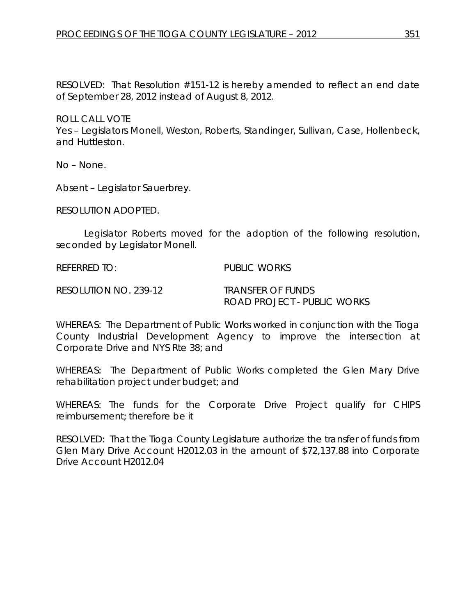RESOLVED: That Resolution #151-12 is hereby amended to reflect an end date of September 28, 2012 instead of August 8, 2012.

ROLL CALL VOTE Yes – Legislators Monell, Weston, Roberts, Standinger, Sullivan, Case, Hollenbeck, and Huttleston.

No – None.

Absent – Legislator Sauerbrey.

RESOLUTION ADOPTED.

Legislator Roberts moved for the adoption of the following resolution, seconded by Legislator Monell.

REFERRED TO: PUBLIC WORKS

RESOLUTION NO. 239-12 *TRANSFER OF FUNDS*

*ROAD PROJECT - PUBLIC WORKS*

WHEREAS: The Department of Public Works worked in conjunction with the Tioga County Industrial Development Agency to improve the intersection at Corporate Drive and NYS Rte 38; and

WHEREAS: The Department of Public Works completed the Glen Mary Drive rehabilitation project under budget; and

WHEREAS: The funds for the Corporate Drive Project qualify for CHIPS reimbursement; therefore be it

RESOLVED: That the Tioga County Legislature authorize the transfer of funds from Glen Mary Drive Account H2012.03 in the amount of \$72,137.88 into Corporate Drive Account H2012.04